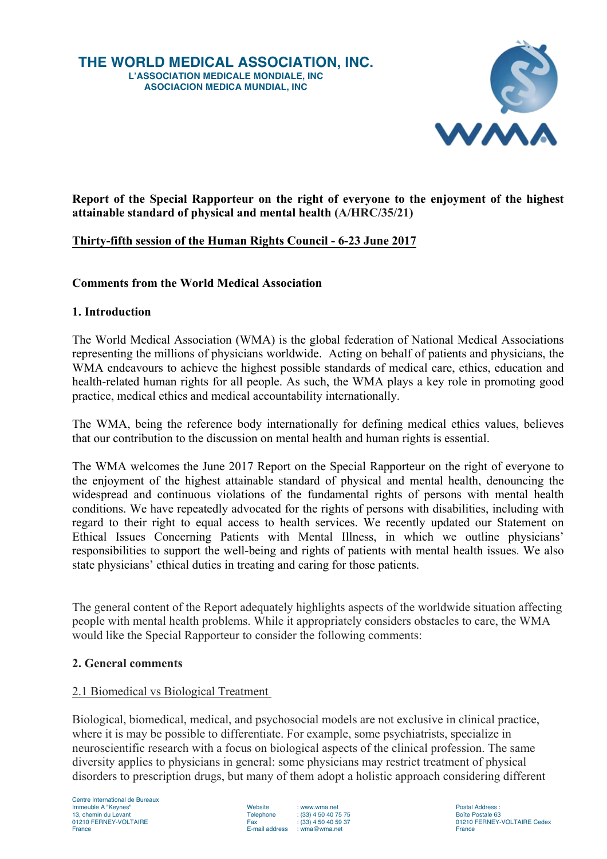

**Report of the Special Rapporteur on the right of everyone to the enjoyment of the highest attainable standard of physical and mental health (A/HRC/35/21)**

# **Thirty-fifth session of the Human Rights Council - 6-23 June 2017**

#### **Comments from the World Medical Association**

#### **1. Introduction**

The World Medical Association (WMA) is the global federation of National Medical Associations representing the millions of physicians worldwide. Acting on behalf of patients and physicians, the WMA endeavours to achieve the highest possible standards of medical care, ethics, education and health-related human rights for all people. As such, the WMA plays a key role in promoting good practice, medical ethics and medical accountability internationally.

The WMA, being the reference body internationally for defining medical ethics values, believes that our contribution to the discussion on mental health and human rights is essential.

The WMA welcomes the June 2017 Report on the Special Rapporteur on the right of everyone to the enjoyment of the highest attainable standard of physical and mental health, denouncing the widespread and continuous violations of the fundamental rights of persons with mental health conditions. We have repeatedly advocated for the rights of persons with disabilities, including with regard to their right to equal access to health services. We recently updated our Statement on Ethical Issues Concerning Patients with Mental Illness, in which we outline physicians' responsibilities to support the well-being and rights of patients with mental health issues. We also state physicians' ethical duties in treating and caring for those patients.

The general content of the Report adequately highlights aspects of the worldwide situation affecting people with mental health problems. While it appropriately considers obstacles to care, the WMA would like the Special Rapporteur to consider the following comments:

#### **2. General comments**

### 2.1 Biomedical vs Biological Treatment

Biological, biomedical, medical, and psychosocial models are not exclusive in clinical practice, where it is may be possible to differentiate. For example, some psychiatrists, specialize in neuroscientific research with a focus on biological aspects of the clinical profession. The same diversity applies to physicians in general: some physicians may restrict treatment of physical disorders to prescription drugs, but many of them adopt a holistic approach considering different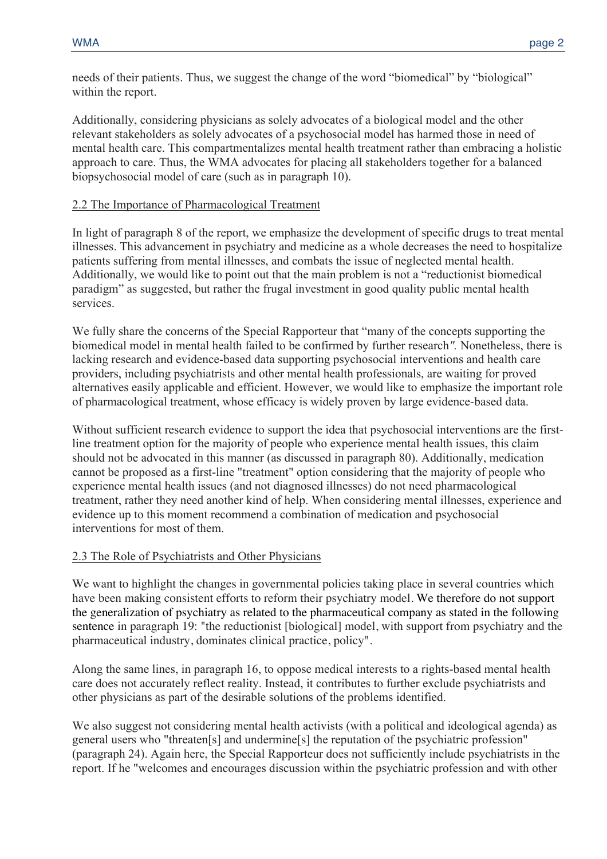needs of their patients. Thus, we suggest the change of the word "biomedical" by "biological" within the report.

Additionally, considering physicians as solely advocates of a biological model and the other relevant stakeholders as solely advocates of a psychosocial model has harmed those in need of mental health care. This compartmentalizes mental health treatment rather than embracing a holistic approach to care. Thus, the WMA advocates for placing all stakeholders together for a balanced biopsychosocial model of care (such as in paragraph 10).

### 2.2 The Importance of Pharmacological Treatment

In light of paragraph 8 of the report, we emphasize the development of specific drugs to treat mental illnesses. This advancement in psychiatry and medicine as a whole decreases the need to hospitalize patients suffering from mental illnesses, and combats the issue of neglected mental health. Additionally, we would like to point out that the main problem is not a "reductionist biomedical paradigm" as suggested, but rather the frugal investment in good quality public mental health services.

We fully share the concerns of the Special Rapporteur that "many of the concepts supporting the biomedical model in mental health failed to be confirmed by further research*".* Nonetheless, there is lacking research and evidence-based data supporting psychosocial interventions and health care providers, including psychiatrists and other mental health professionals, are waiting for proved alternatives easily applicable and efficient. However, we would like to emphasize the important role of pharmacological treatment, whose efficacy is widely proven by large evidence-based data.

Without sufficient research evidence to support the idea that psychosocial interventions are the firstline treatment option for the majority of people who experience mental health issues, this claim should not be advocated in this manner (as discussed in paragraph 80). Additionally, medication cannot be proposed as a first-line "treatment" option considering that the majority of people who experience mental health issues (and not diagnosed illnesses) do not need pharmacological treatment, rather they need another kind of help. When considering mental illnesses, experience and evidence up to this moment recommend a combination of medication and psychosocial interventions for most of them.

### 2.3 The Role of Psychiatrists and Other Physicians

We want to highlight the changes in governmental policies taking place in several countries which have been making consistent efforts to reform their psychiatry model. We therefore do not support the generalization of psychiatry as related to the pharmaceutical company as stated in the following sentence in paragraph 19: "the reductionist [biological] model, with support from psychiatry and the pharmaceutical industry, dominates clinical practice, policy"*.* 

Along the same lines, in paragraph 16, to oppose medical interests to a rights-based mental health care does not accurately reflect reality. Instead, it contributes to further exclude psychiatrists and other physicians as part of the desirable solutions of the problems identified.

We also suggest not considering mental health activists (with a political and ideological agenda) as general users who "threaten[s] and undermine[s] the reputation of the psychiatric profession" (paragraph 24). Again here, the Special Rapporteur does not sufficiently include psychiatrists in the report. If he "welcomes and encourages discussion within the psychiatric profession and with other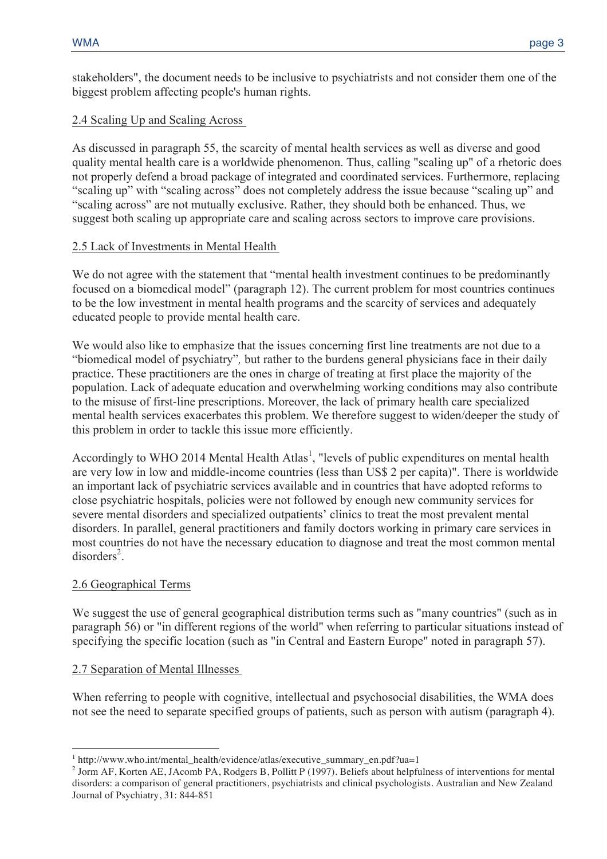stakeholders", the document needs to be inclusive to psychiatrists and not consider them one of the biggest problem affecting people's human rights.

# 2.4 Scaling Up and Scaling Across

As discussed in paragraph 55, the scarcity of mental health services as well as diverse and good quality mental health care is a worldwide phenomenon. Thus, calling "scaling up" of a rhetoric does not properly defend a broad package of integrated and coordinated services. Furthermore, replacing "scaling up" with "scaling across" does not completely address the issue because "scaling up" and "scaling across" are not mutually exclusive. Rather, they should both be enhanced. Thus, we suggest both scaling up appropriate care and scaling across sectors to improve care provisions.

### 2.5 Lack of Investments in Mental Health

We do not agree with the statement that "mental health investment continues to be predominantly focused on a biomedical model" (paragraph 12). The current problem for most countries continues to be the low investment in mental health programs and the scarcity of services and adequately educated people to provide mental health care.

We would also like to emphasize that the issues concerning first line treatments are not due to a "biomedical model of psychiatry"*,* but rather to the burdens general physicians face in their daily practice. These practitioners are the ones in charge of treating at first place the majority of the population. Lack of adequate education and overwhelming working conditions may also contribute to the misuse of first-line prescriptions. Moreover, the lack of primary health care specialized mental health services exacerbates this problem. We therefore suggest to widen/deeper the study of this problem in order to tackle this issue more efficiently.

Accordingly to WHO 2014 Mental Health Atlas<sup>1</sup>, "levels of public expenditures on mental health are very low in low and middle-income countries (less than US\$ 2 per capita)". There is worldwide an important lack of psychiatric services available and in countries that have adopted reforms to close psychiatric hospitals, policies were not followed by enough new community services for severe mental disorders and specialized outpatients' clinics to treat the most prevalent mental disorders. In parallel, general practitioners and family doctors working in primary care services in most countries do not have the necessary education to diagnose and treat the most common mental disorders<sup>2</sup>.

### 2.6 Geographical Terms

 $\overline{a}$ 

We suggest the use of general geographical distribution terms such as "many countries" (such as in paragraph 56) or "in different regions of the world" when referring to particular situations instead of specifying the specific location (such as "in Central and Eastern Europe" noted in paragraph 57).

### 2.7 Separation of Mental Illnesses

When referring to people with cognitive, intellectual and psychosocial disabilities, the WMA does not see the need to separate specified groups of patients, such as person with autism (paragraph 4).

<sup>1</sup> http://www.who.int/mental\_health/evidence/atlas/executive\_summary\_en.pdf?ua=1

<sup>&</sup>lt;sup>2</sup> Jorm AF, Korten AE, JAcomb PA, Rodgers B, Pollitt P (1997). Beliefs about helpfulness of interventions for mental disorders: a comparison of general practitioners, psychiatrists and clinical psychologists. Australian and New Zealand Journal of Psychiatry, 31: 844-851